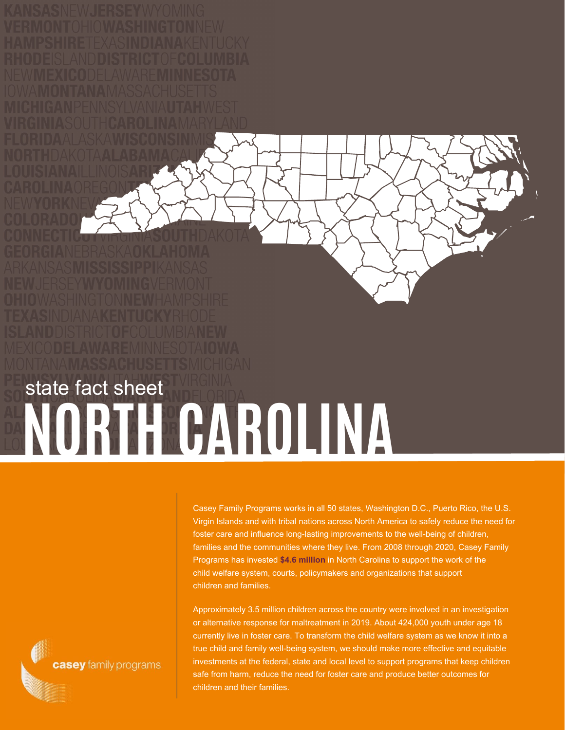**NORTH CAROLINA** state fact sheet

> Casey Family Programs works in all 50 states, Washington D.C., Puerto Rico, the U.S. Virgin Islands and with tribal nations across North America to safely reduce the need for foster care and influence long-lasting improvements to the well-being of children, families and the communities where they live. From 2008 through 2020, Casey Family Programs has invested **\$4.6 million** in North Carolina to support the work of the child welfare system, courts, policymakers and organizations that support children and families.

Approximately 3.5 million children across the country were involved in an investigation or alternative response for maltreatment in 2019. About 424,000 youth under age 18 currently live in foster care. To transform the child welfare system as we know it into a true child and family well-being system, we should make more effective and equitable investments at the federal, state and local level to support programs that keep children safe from harm, reduce the need for foster care and produce better outcomes for children and their families.

casey family programs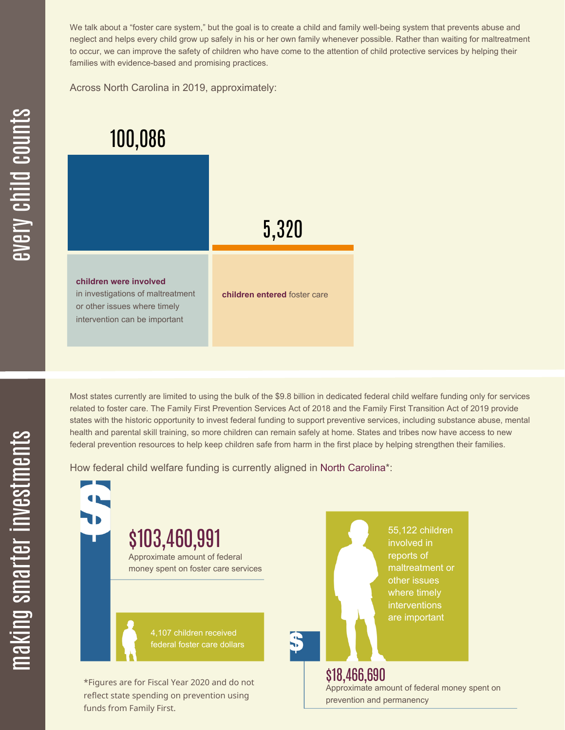We talk about a "foster care system," but the goal is to create a child and family well-being system that prevents abuse and neglect and helps every child grow up safely in his or her own family whenever possible. Rather than waiting for maltreatment to occur, we can improve the safety of children who have come to the attention of child protective services by helping their families with evidence-based and promising practices.

Across North Carolina in 2019, approximately:

## 100,086 5,320 **children were involved** in investigations of maltreatment or other issues where timely intervention can be important **children entered** foster care

Most states currently are limited to using the bulk of the \$9.8 billion in dedicated federal child welfare funding only for services related to foster care. The Family First Prevention Services Act of 2018 and the Family First Transition Act of 2019 provide states with the historic opportunity to invest federal funding to support preventive services, including substance abuse, mental health and parental skill training, so more children can remain safely at home. States and tribes now have access to new federal prevention resources to help keep children safe from harm in the first place by helping strengthen their families.

How federal child welfare funding is currently aligned in North Carolina\*:

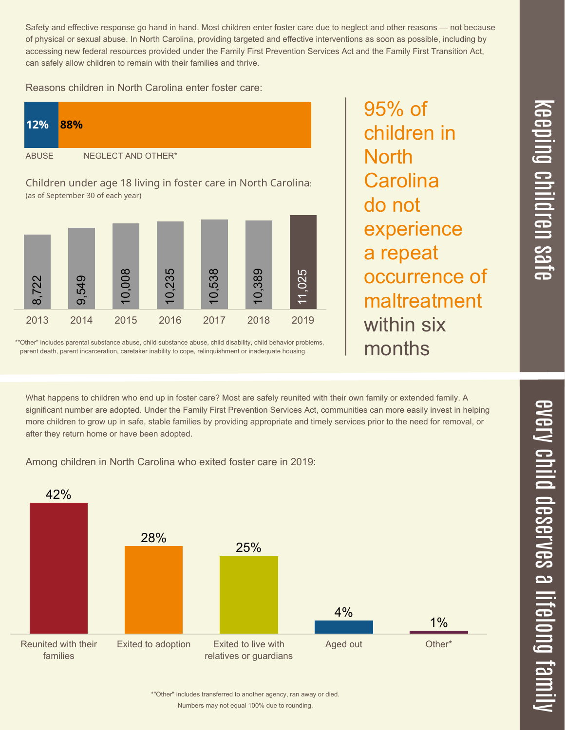Safety and effective response go hand in hand. Most children enter foster care due to neglect and other reasons — not because of physical or sexual abuse. In North Carolina, providing targeted and effective interventions as soon as possible, including by accessing new federal resources provided under the Family First Prevention Services Act and the Family First Transition Act, can safely allow children to remain with their families and thrive.

Reasons children in North Carolina enter foster care:

| 12%          | 88%                |
|--------------|--------------------|
| <b>ABUSE</b> | NEGLECT AND OTHER* |

Children under age 18 living in foster care in North Carolina: (as of September 30 of each year)



\*"Other" includes parental substance abuse, child substance abuse, child disability, child behavior problems, parent death, parent incarceration, caretaker inability to cope, relinquishment or inadequate housing.

What happens to children who end up in foster care? Most are safely reunited with their own family or extended family. A significant number are adopted. Under the Family First Prevention Services Act, communities can more easily invest in helping more children to grow up in safe, stable families by providing appropriate and timely services prior to the need for removal, or after they return home or have been adopted.

Among children in North Carolina who exited foster care in 2019:



 $\overline{\mathbf{C}}$  $\leq$  $\overline{\mathbf{C}}$  $\overline{\mathsf{Z}}$  $\overline{\mathbf{C}}$ 

 $\equiv$ 

 $\blacksquare$  $\overline{\mathbf{C}}$  $\mathcal{C}$  $\overline{\mathbf{C}}$  $\overline{\phantom{a}}$  $\overline{\mathbf{C}}$  $\mathcal{C}$ <u>م</u>

 $\equiv$ 

el<br>O  $\overline{\phantom{0}}$  $\blacksquare$ 

t<br>B

mily

children in **North Carolina** do not experience a repeat occurrence of maltreatment within six months

95% of